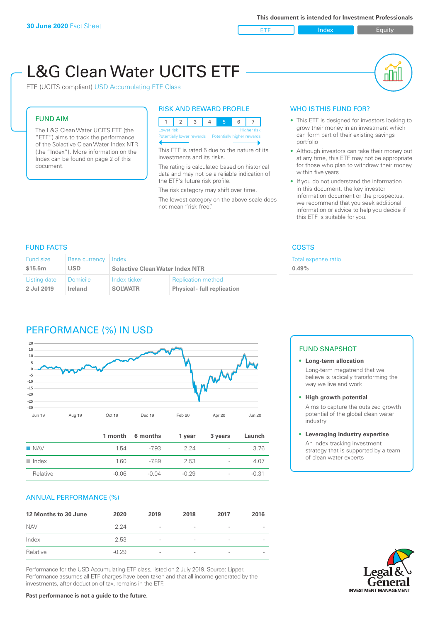**ETF** Index **Index** Equity

nN

# L&G Clean Water UCITS ETF

ETF (UCITS compliant) USD Accumulating ETF Class

### FUND AIM

The L&G Clean Water UCITS ETF (the "ETF") aims to track the performance of the Solactive Clean Water Index NTR (the "Index"). More information on the Index can be found on page 2 of this document.

#### RISK AND REWARD PROFILE

| Lower risk<br><b>Higher risk</b> |  |  |  |                                                      |  |  |  |  |
|----------------------------------|--|--|--|------------------------------------------------------|--|--|--|--|
|                                  |  |  |  | Potentially lower rewards Potentially higher rewards |  |  |  |  |
|                                  |  |  |  |                                                      |  |  |  |  |

This ETF is rated 5 due to the nature of its investments and its risks.

The rating is calculated based on historical data and may not be a reliable indication of the ETF's future risk profile.

The risk category may shift over time. The lowest category on the above scale does not mean "risk free".

#### WHO IS THIS FUND FOR?

- This ETF is designed for investors looking to grow their money in an investment which can form part of their existing savings portfolio
- Although investors can take their money out at any time, this ETF may not be appropriate for those who plan to withdraw their money within five years
- If you do not understand the information in this document, the key investor information document or the prospectus, we recommend that you seek additional information or advice to help you decide if this ETF is suitable for you.

ense ratio

#### FUND FACTS COSTS

| <b>Fund size</b>                                         | <b>Base currency</b> | Index                                                                                             |  | <b>Total exp</b> |
|----------------------------------------------------------|----------------------|---------------------------------------------------------------------------------------------------|--|------------------|
| \$15.5m                                                  | <b>USD</b>           | <b>Solactive Clean Water Index NTR</b>                                                            |  | 0.49%            |
| Listing date<br><b>Domicile</b><br>2 Jul 2019<br>Ireland |                      | Index ticker<br><b>Replication method</b><br><b>SOLWATR</b><br><b>Physical - full replication</b> |  |                  |

## PERFORMANCE (%) IN USD



|                      |         | 1 month 6 months | 1 year  | 3 years                  | Launch  |
|----------------------|---------|------------------|---------|--------------------------|---------|
| $\blacksquare$ NAV   | 1.54    | -793             | 224     | $\overline{\phantom{a}}$ | 3.76    |
| $\blacksquare$ Index | 1.60    | -789             | 2.53    | $\overline{\phantom{0}}$ | 4.07    |
| Relative             | $-0.06$ | -0.04            | $-0.29$ | $\overline{\phantom{a}}$ | $-0.31$ |

#### ANNUAL PERFORMANCE (%)

| 12 Months to 30 June | 2020    | 2019                     | 2018                     | 2017            | 2016 |
|----------------------|---------|--------------------------|--------------------------|-----------------|------|
| <b>NAV</b>           | 2 24    | $\overline{\phantom{a}}$ |                          | ۰               |      |
| Index                | 2.53    | $\overline{\phantom{a}}$ | $\overline{\phantom{a}}$ | $\qquad \qquad$ |      |
| Relative             | $-0.29$ | $\overline{\phantom{a}}$ |                          | ۰               |      |

Performance for the USD Accumulating ETF class, listed on 2 July 2019. Source: Lipper. Performance assumes all ETF charges have been taken and that all income generated by the investments, after deduction of tax, remains in the ETF.

#### FUND SNAPSHOT

**• Long-term allocation** Long-term megatrend that we believe is radically transforming the way we live and work

**• High growth potential**

Aims to capture the outsized growth potential of the global clean water industry

#### **• Leveraging industry expertise**

An index tracking investment strategy that is supported by a team of clean water experts

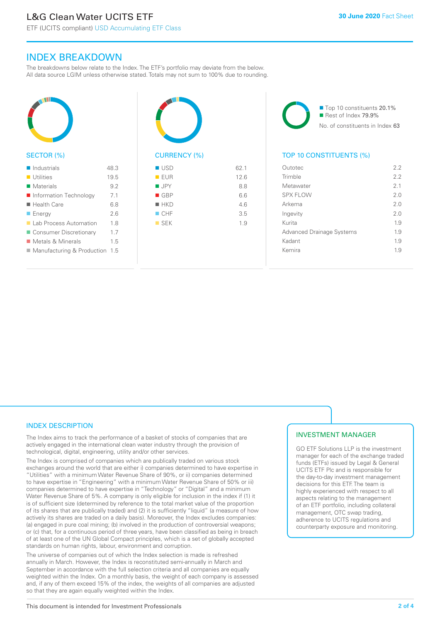ETF (UCITS compliant) USD Accumulating ETF Class

### INDEX BREAKDOWN

The breakdowns below relate to the Index. The ETF's portfolio may deviate from the below. All data source LGIM unless otherwise stated. Totals may not sum to 100% due to rounding.



#### SECTOR (%)



| ■ USD              | 62.1 |
|--------------------|------|
| EUR                | 12.6 |
| $\blacksquare$ JPY | 8.8  |
| GBP                | 6.6  |
| $H$ HKD            | 4.6  |
| $\blacksquare$ CHF | 3.5  |
| $\blacksquare$ SEK | 1.9  |
|                    |      |
|                    |      |

■ Top 10 constituents 20.1% Rest of Index 79.9% No. of constituents in Index 63

#### TOP 10 CONSTITUENTS (%)

| Outotec                          | 2.2            |
|----------------------------------|----------------|
| Trimble                          | 22             |
| Metawater                        | 2 <sub>1</sub> |
| <b>SPX FLOW</b>                  | 2 O            |
| Arkema                           | 2.0            |
| Ingevity                         | 20             |
| Kurita                           | 1.9            |
| <b>Advanced Drainage Systems</b> | 1.9            |
| Kadant                           | 1.9            |
| Kemira                           | 19             |
|                                  |                |

#### INDEX DESCRIPTION

The Index aims to track the performance of a basket of stocks of companies that are actively engaged in the international clean water industry through the provision of technological, digital, engineering, utility and/or other services.

The Index is comprised of companies which are publically traded on various stock exchanges around the world that are either i) companies determined to have expertise in "Utilities" with a minimum Water Revenue Share of 90%, or ii) companies determined to have expertise in "Engineering" with a minimum Water Revenue Share of 50% or iii) companies determined to have expertise in "Technology" or "Digital" and a minimum Water Revenue Share of 5%. A company is only eligible for inclusion in the index if (1) it is of sufficient size (determined by reference to the total market value of the proportion of its shares that are publically traded) and (2) it is sufficiently "liquid" (a measure of how actively its shares are traded on a daily basis). Moreover, the Index excludes companies: (a) engaged in pure coal mining; (b) involved in the production of controversial weapons; or (c) that, for a continuous period of three years, have been classified as being in breach of at least one of the UN Global Compact principles, which is a set of globally accepted standards on human rights, labour, environment and corruption.

The universe of companies out of which the Index selection is made is refreshed annually in March. However, the Index is reconstituted semi-annually in March and September in accordance with the full selection criteria and all companies are equally weighted within the Index. On a monthly basis, the weight of each company is assessed and, if any of them exceed 15% of the index, the weights of all companies are adjusted so that they are again equally weighted within the Index.

#### INVESTMENT MANAGER

GO ETF Solutions LLP is the investment manager for each of the exchange traded funds (ETFs) issued by Legal & General UCITS ETF Plc and is responsible for the day-to-day investment management decisions for this ETF. The team is highly experienced with respect to all aspects relating to the management of an ETF portfolio, including collateral management, OTC swap trading, adherence to UCITS regulations and counterparty exposure and monitoring.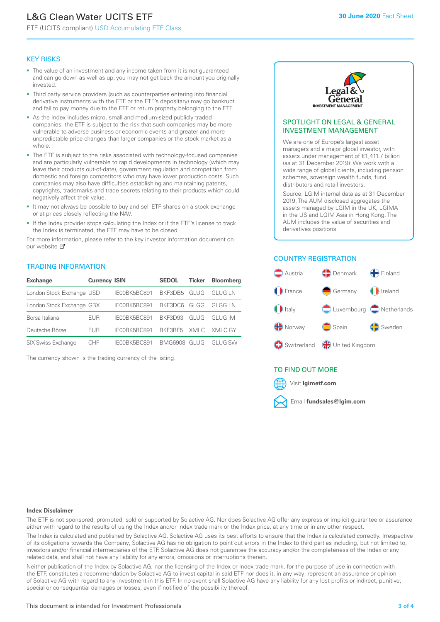# L&G Clean Water UCITS ETF

ETF (UCITS compliant) USD Accumulating ETF Class

#### KEY RISKS

- The value of an investment and any income taken from it is not guaranteed and can go down as well as up; you may not get back the amount you originally invested.
- Third party service providers (such as counterparties entering into financial derivative instruments with the ETF or the ETF's depositary) may go bankrupt and fail to pay money due to the ETF or return property belonging to the ETF.
- As the Index includes micro, small and medium-sized publicly traded companies, the ETF is subject to the risk that such companies may be more vulnerable to adverse business or economic events and greater and more unpredictable price changes than larger companies or the stock market as a whole.
- The ETF is subject to the risks associated with technology-focused companies and are particularly vulnerable to rapid developments in technology (which may leave their products out-of-date), government regulation and competition from domestic and foreign competitors who may have lower production costs. Such companies may also have difficulties establishing and maintaining patents, copyrights, trademarks and trade secrets relating to their products which could negatively affect their value.
- It may not always be possible to buy and sell ETF shares on a stock exchange or at prices closely reflecting the NAV.
- If the Index provider stops calculating the Index or if the ETF's license to track the Index is terminated, the ETF may have to be closed.

For more information, please refer to the key investor information document on our website ぴ

#### TRADING INFORMATION

| <b>Exchange</b>           | <b>Currency ISIN</b> |              | <b>SEDOL</b>   | Ticker | <b>Bloomberg</b> |
|---------------------------|----------------------|--------------|----------------|--------|------------------|
| London Stock Exchange USD |                      | IE00BK5BC891 | BKF3DB5        | GLUG   | GI UG I N        |
| London Stock Exchange GBX |                      | IE00BK5BC891 | BKF3DC6        | GLGG   | GI GG I N        |
| Borsa Italiana            | EUR                  | IE00BK5BC891 | <b>BKE3D93</b> | GLUG   | GI UG IM         |
| Deutsche Börse            | EUR                  | IE00BK5BC891 | BKF3BF5        |        | XMLC XMLC GY     |
| <b>SIX Swiss Exchange</b> | CHE                  | IF00BK5BC891 | BMG6908        | GI UG  | GI UG SW         |

The currency shown is the trading currency of the listing.



#### SPOTLIGHT ON LEGAL & GENERAL INVESTMENT MANAGEMENT

We are one of Europe's largest asset managers and a major global investor, with assets under management of €1,411.7 billion (as at 31 December 2019). We work with a wide range of global clients, including pension schemes, sovereign wealth funds, fund distributors and retail investors.

Source: LGIM internal data as at 31 December 2019. The AUM disclosed aggregates the assets managed by LGIM in the UK, LGIMA in the US and LGIM Asia in Hong Kong. The AUM includes the value of securities and derivatives positions.

#### COUNTRY REGISTRATION



#### TO FIND OUT MORE



#### **Index Disclaimer**

The ETF is not sponsored, promoted, sold or supported by Solactive AG. Nor does Solactive AG offer any express or implicit guarantee or assurance either with regard to the results of using the Index and/or Index trade mark or the Index price, at any time or in any other respect.

The Index is calculated and published by Solactive AG. Solactive AG uses its best efforts to ensure that the Index is calculated correctly. Irrespective of its obligations towards the Company, Solactive AG has no obligation to point out errors in the Index to third parties including, but not limited to, investors and/or financial intermediaries of the ETF. Solactive AG does not guarantee the accuracy and/or the completeness of the Index or any related data, and shall not have any liability for any errors, omissions or interruptions therein.

Neither publication of the Index by Solactive AG, nor the licensing of the Index or Index trade mark, for the purpose of use in connection with the ETF, constitutes a recommendation by Solactive AG to invest capital in said ETF nor does it, in any way, represent an assurance or opinion of Solactive AG with regard to any investment in this ETF. In no event shall Solactive AG have any liability for any lost profits or indirect, punitive, special or consequential damages or losses, even if notified of the possibility thereof.